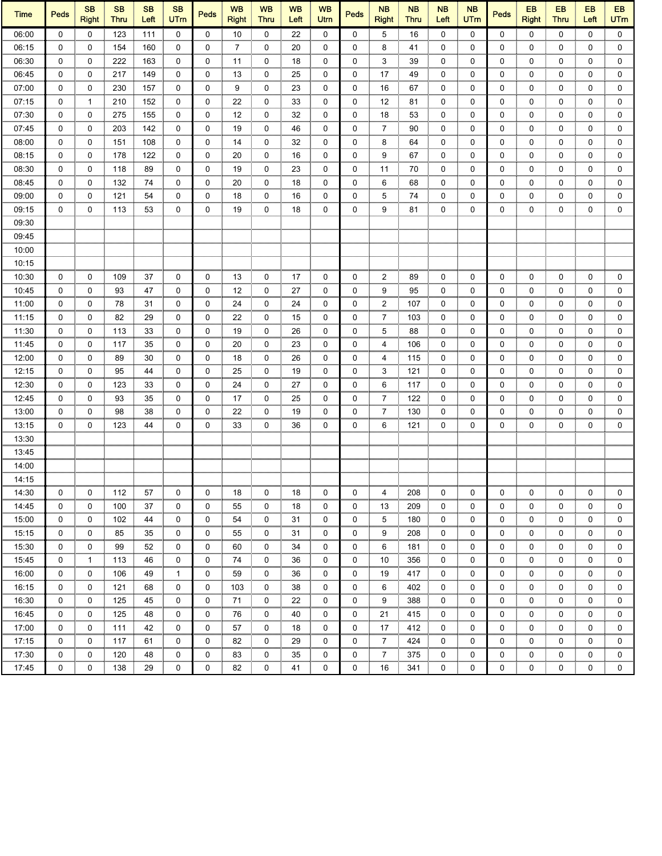| <b>Time</b>    | <b>Peds</b> | <b>SB</b><br><b>Right</b> | <b>SB</b><br><b>Thru</b> | <b>SB</b><br>Left | <b>SB</b><br><b>UTm</b> | <b>Peds</b> | <b>WB</b><br><b>Right</b> | <b>WB</b><br><b>Thru</b> | <b>WB</b><br>Left | <b>WB</b><br>Utrn | <b>Peds</b> | <b>NB</b><br><b>Right</b> | <b>NB</b><br><b>Thru</b> | <b>NB</b><br>Left | <b>NB</b><br><b>UTm</b> | <b>Peds</b> | EB<br><b>Right</b> | EB<br><b>Thru</b> | EB<br>Left   | EB<br><b>UTm</b> |
|----------------|-------------|---------------------------|--------------------------|-------------------|-------------------------|-------------|---------------------------|--------------------------|-------------------|-------------------|-------------|---------------------------|--------------------------|-------------------|-------------------------|-------------|--------------------|-------------------|--------------|------------------|
| 06:00          | $\Omega$    | $\Omega$                  | 123                      | 111               | $\mathbf 0$             | $\mathbf 0$ | 10                        | $\mathbf 0$              | 22                | $\mathbf 0$       | $\mathbf 0$ | 5                         | 16                       | $\mathbf 0$       | $\mathbf{0}$            | $\Omega$    | $\mathbf{0}$       | $\Omega$          | $\mathbf{0}$ | $\mathbf 0$      |
| 06:15          | 0           | 0                         | 154                      | 160               | 0                       | 0           | 7                         | 0                        | 20                | 0                 | 0           | 8                         | 41                       | 0                 | 0                       | 0           | 0                  | 0                 | 0            | 0                |
| 06:30          | 0           | 0                         | 222                      | 163               | 0                       | 0           | 11                        | 0                        | 18                | 0                 | 0           | 3                         | 39                       | 0                 | 0                       | 0           | 0                  | 0                 | 0            | 0                |
| 06:45          | 0           | 0                         | 217                      | 149               | 0                       | 0           | 13                        | 0                        | 25                | 0                 | 0           | 17                        | 49                       | 0                 | 0                       | 0           | 0                  | 0                 | 0            | 0                |
| 07:00          | 0           | 0<br>ш                    | 230                      | 157               | 0                       | 0           | 9                         | 0                        | 23                | 0                 | 0           | 16                        | 67                       | 0                 | 0                       | 0           | 0                  | 0                 | 0            | $\mathbf 0$      |
| 07:15          | 0           | 1                         | 210                      | 152               | 0                       | 0           | 22                        | 0                        | 33                | 0                 | 0           | 12                        | 81                       | 0                 | 0                       | 0           | 0                  | 0                 | 0            | 0                |
| 07:30          | 0           | 0                         | 275                      | 155               | 0                       | 0           | 12                        | 0                        | 32                | 0                 | 0           | 18                        | 53                       | 0                 | 0                       | 0           | 0                  | 0                 | 0            | 0                |
| 07:45          | 0           | 0                         | 203                      | 142               | 0                       | 0           | 19                        | 0                        | 46                | 0                 | 0           | 7                         | 90                       | 0                 | 0                       | 0           | 0                  | 0                 | 0            | 0                |
| 08:00          | 0           | 0                         | 151                      | 108               | 0                       | 0           | 14                        | 0                        | 32                | 0                 | 0           | 8                         | 64                       | 0                 | 0                       | 0           | 0                  | 0                 | 0            | 0                |
| 08:15          | 0           | 0                         | 178                      | 122               | 0                       | 0           | 20                        | 0                        | 16                | 0                 | 0           | 9                         | 67                       | 0                 | 0                       | 0           | 0                  | 0                 | 0            | 0                |
| 08:30          | $\mathbf 0$ | 0                         | 118                      | 89                | 0                       | 0           | 19                        | 0                        | 23                | 0                 | 0           | 11                        | 70                       | 0                 | 0                       | 0           | 0                  | 0                 | 0            | 0                |
| 08:45          | 0           | 0                         | 132                      | 74                | 0                       | 0           | 20                        | 0                        | 18                | 0                 | 0           | 6                         | 68                       | 0                 | 0                       | 0           | 0                  | 0                 | 0            | 0                |
| 09:00          | 0           | 0                         | 121                      | 54                | 0                       | 0           | 18                        | 0                        | 16                | 0                 | 0           | 5                         | 74                       | 0                 | 0                       | 0           | 0                  | 0                 | 0            | 0                |
| 09:15          | 0           | 0                         | 113                      | 53                | 0                       | 0           | 19                        | 0                        | 18                | 0                 | 0           | 9                         | 81                       | 0                 | 0                       | 0           | 0                  | 0                 | 0            | 0                |
| 09:30          |             |                           |                          |                   |                         |             |                           |                          |                   |                   |             |                           |                          |                   |                         |             |                    |                   |              |                  |
| 09:45          |             |                           |                          |                   |                         |             |                           |                          |                   |                   |             |                           |                          |                   |                         |             |                    |                   |              |                  |
| 10:00          |             |                           |                          |                   |                         |             |                           |                          |                   |                   |             |                           |                          |                   |                         |             |                    |                   |              |                  |
| 10:15          |             |                           |                          |                   |                         |             |                           |                          |                   |                   |             |                           |                          |                   |                         |             |                    |                   |              |                  |
| 10:30          | 0           | 0                         | 109                      | 37                | 0                       | 0           | 13                        | 0                        | 17                | 0                 | 0           | 2                         | 89                       | 0                 | 0                       | 0           | 0                  | 0                 | 0            | 0                |
| 10:45          | 0           | 0                         | 93                       | 47                | 0                       | 0           | 12                        | 0                        | 27                | 0                 | 0           | 9                         | 95                       | 0                 | 0                       | 0           | 0                  | 0                 | 0            | 0                |
| 11:00          | 0           | 0                         | 78                       | 31                | 0                       | 0           | 24                        | 0                        | 24                | 0                 | 0           | 2                         | 107                      | 0                 | 0                       | 0           | 0                  | 0                 | 0            | 0                |
| 11:15          | 0           | 0                         | 82                       | 29                | 0                       | 0           | 22                        | 0                        | 15                | 0                 | 0           | 7                         | 103                      | 0                 | 0                       | 0           | 0                  | 0                 | 0            | 0                |
| 11:30          | $\mathbf 0$ | 0                         | 113                      | 33                | $\mathbf 0$             | 0           | 19                        | 0                        | 26                | 0                 | 0           | 5                         | 88                       | 0                 | 0                       | 0           | 0                  | 0                 | 0            | 0                |
| 11:45          | 0           | 0                         | 117                      | 35                | 0                       | 0           | 20                        | 0                        | 23                | 0                 | 0           | 4                         | 106                      | 0                 | 0                       | 0           | 0                  | 0                 | 0            | 0                |
| 12:00          | 0           | 0                         | 89                       | 30                | 0                       | 0           | 18                        | 0                        | 26                | 0                 | 0           | 4                         | 115                      | 0                 | 0                       | 0           | 0                  | 0                 | 0            | 0                |
| 12:15          | 0           | 0                         | 95                       | 44                | 0                       | 0           | 25                        | 0                        | 19                | 0                 | 0           | 3                         | 121                      | 0                 | 0                       | 0           | 0                  | 0                 | 0            | 0                |
| 12:30          | 0           | 0                         | 123                      | 33                | 0                       | 0           | 24                        | 0                        | 27                | 0                 | 0           | 6                         | 117                      | 0                 | 0                       | 0           | 0                  | 0                 | 0            | 0                |
| 12:45          | 0           | 0                         | 93                       | 35                | 0                       | 0           | 17                        | 0                        | 25                | 0                 | 0           | $\overline{7}$            | 122                      | 0                 | 0                       | 0           | 0                  | 0                 | 0            | 0                |
| 13:00          | 0           | 0                         | 98                       | 38                | 0                       | 0           | 22                        | 0                        | 19                | 0                 | 0           | 7                         | 130                      | 0                 | 0                       | 0           | 0                  | 0                 | 0            | 0                |
|                | 0           | 0                         | 123                      | 44                | 0                       | 0           | 33                        | 0                        | 36                | 0                 | 0           | 6                         | 121                      | 0                 | 0                       | 0           | 0                  | 0                 | 0            | $\mathbf 0$      |
| 13:15<br>13:30 |             |                           |                          |                   |                         |             |                           |                          |                   |                   |             |                           |                          |                   |                         |             |                    |                   |              |                  |
| 13:45          |             |                           |                          |                   |                         |             |                           |                          |                   |                   |             |                           |                          |                   |                         |             |                    |                   |              |                  |
|                |             |                           |                          |                   |                         |             |                           |                          |                   |                   |             |                           |                          |                   |                         |             |                    |                   |              |                  |
| 14:00          |             |                           |                          |                   |                         |             |                           |                          |                   |                   |             |                           |                          |                   |                         |             |                    |                   |              |                  |
| 14:15          |             |                           |                          |                   |                         |             |                           |                          |                   |                   |             |                           |                          |                   |                         |             |                    |                   |              |                  |
| 14:30          | 0           | 0                         | 112                      | 57                | 0                       | 0           | 18                        | 0                        | 18                | 0                 | 0           | 4                         | 208                      | 0                 | 0                       | 0           | 0                  | 0                 | 0            | 0                |
| 14:45          | 0           | 0                         | 100                      | 37                | 0                       | 0           | 55                        | 0                        | 18                | 0                 | 0           | 13                        | 209                      | 0                 | 0                       | 0           | 0                  | 0                 | 0            | 0                |
| 15:00          | 0           | 0                         | 102                      | 44                | 0                       | 0           | 54                        | 0                        | 31                | 0                 | 0           | 5                         | 180                      | 0                 | 0                       | 0           | 0                  | 0                 | 0            | 0                |
| 15:15          | 0           | 0                         | 85                       | 35                | 0                       | 0           | 55                        | 0                        | 31                | 0                 | 0           | 9                         | 208                      | 0                 | 0                       | 0           | 0                  | 0                 | 0            | 0                |
| 15:30          | $\mathbf 0$ | 0                         | 99                       | 52                | 0                       | 0           | 60                        | 0                        | 34                | 0                 | 0           | 6                         | 181                      | 0                 | 0                       | 0           | 0                  | 0                 | 0            | 0                |
| 15:45          | 0           | 1                         | 113                      | 46                | 0                       | 0           | 74                        | 0                        | 36                | 0                 | 0           | 10                        | 356                      | 0                 | 0                       | 0           | 0                  | 0                 | 0            | 0                |
| 16:00          | 0           | 0                         | 106                      | 49                | $\mathbf{1}$            | 0           | 59                        | 0                        | 36                | 0                 | 0           | 19                        | 417                      | 0                 | 0                       | 0           | 0                  | 0                 | 0            | 0                |
| 16:15          | 0           | 0                         | 121                      | 68                | 0                       | 0           | 103                       | 0                        | 38                | 0                 | 0           | 6                         | 402                      | 0                 | 0                       | 0           | 0                  | 0                 | 0            | 0                |
| 16:30          | 0           | 0                         | 125                      | 45                | 0                       | 0           | 71                        | 0                        | 22                | 0                 | 0           | 9                         | 388                      | 0                 | 0                       | 0           | 0                  | 0                 | 0            | 0                |
| 16:45          | 0           | 0<br>m                    | 125                      | 48                | 0<br>mm                 | 0           | 76                        | 0                        | 40                | 0                 | 0           | 21                        | 415                      | 0                 | 0                       | 0           | 0                  | 0                 | 0            | 0                |
| 17:00          | 0           | 0                         | 111                      | 42                | 0                       | 0           | 57                        | 0                        | 18                | 0                 | 0           | 17                        | 412                      | 0                 | 0                       | 0           | 0                  | 0                 | 0            | 0                |
| 17:15          | 0           | 0                         | 117                      | 61                | 0                       | 0           | 82                        | 0                        | 29                | 0                 | 0           | 7                         | 424                      | 0                 | 0                       | 0           | 0                  | 0                 | 0            | 0                |
| 17:30          | 0           | 0                         | 120                      | 48                | 0                       | 0           | 83                        | 0                        | 35                | 0                 | 0           | $\overline{7}$            | 375                      | 0                 | 0                       | 0           | 0                  | 0                 | 0            | 0                |
| 17:45          | 0           | 0                         | 138                      | 29                | 0                       | 0           | 82                        | 0                        | 41                | 0                 | 0           | 16                        | 341                      | 0                 | 0                       | 0           | 0                  | 0                 | 0            | 0                |